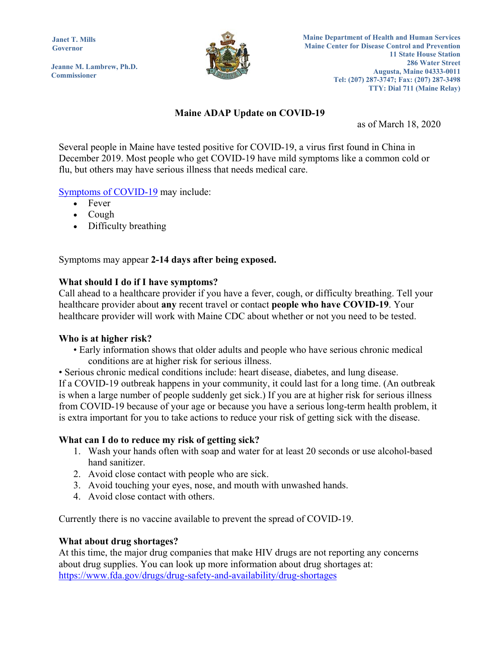**Janet T. Mills Governor** 

**Jeanne M. Lambrew, Ph.D. Commissioner**



# **Maine ADAP Update on COVID-19**

as of March 18, 2020

Several people in Maine have tested positive for COVID-19, a virus first found in China in December 2019. Most people who get COVID-19 have mild symptoms like a common cold or flu, but others may have serious illness that needs medical care.

## Symptoms of COVID-19 may include:

- Fever
- Cough
- Difficulty breathing

Symptoms may appear **2-14 days after being exposed.**

### **What should I do if I have symptoms?**

Call ahead to a healthcare provider if you have a fever, cough, or difficulty breathing. Tell your healthcare provider about **any** recent travel or contact **people who have COVID-19**. Your healthcare provider will work with Maine CDC about whether or not you need to be tested.

#### **Who is at higher risk?**

• Early information shows that older adults and people who have serious chronic medical conditions are at higher risk for serious illness.

• Serious chronic medical conditions include: heart disease, diabetes, and lung disease. If a COVID-19 outbreak happens in your community, it could last for a long time. (An outbreak is when a large number of people suddenly get sick.) If you are at higher risk for serious illness from COVID-19 because of your age or because you have a serious long-term health problem, it is extra important for you to take actions to reduce your risk of getting sick with the disease.

## **What can I do to reduce my risk of getting sick?**

- 1. Wash your hands often with soap and water for at least 20 seconds or use alcohol-based hand sanitizer.
- 2. Avoid close contact with people who are sick.
- 3. Avoid touching your eyes, nose, and mouth with unwashed hands.
- 4. Avoid close contact with others.

Currently there is no vaccine available to prevent the spread of COVID-19.

#### **What about drug shortages?**

At this time, the major drug companies that make HIV drugs are not reporting any concerns about drug supplies. You can look up more information about drug shortages at: https://www.fda.gov/drugs/drug-safety-and-availability/drug-shortages